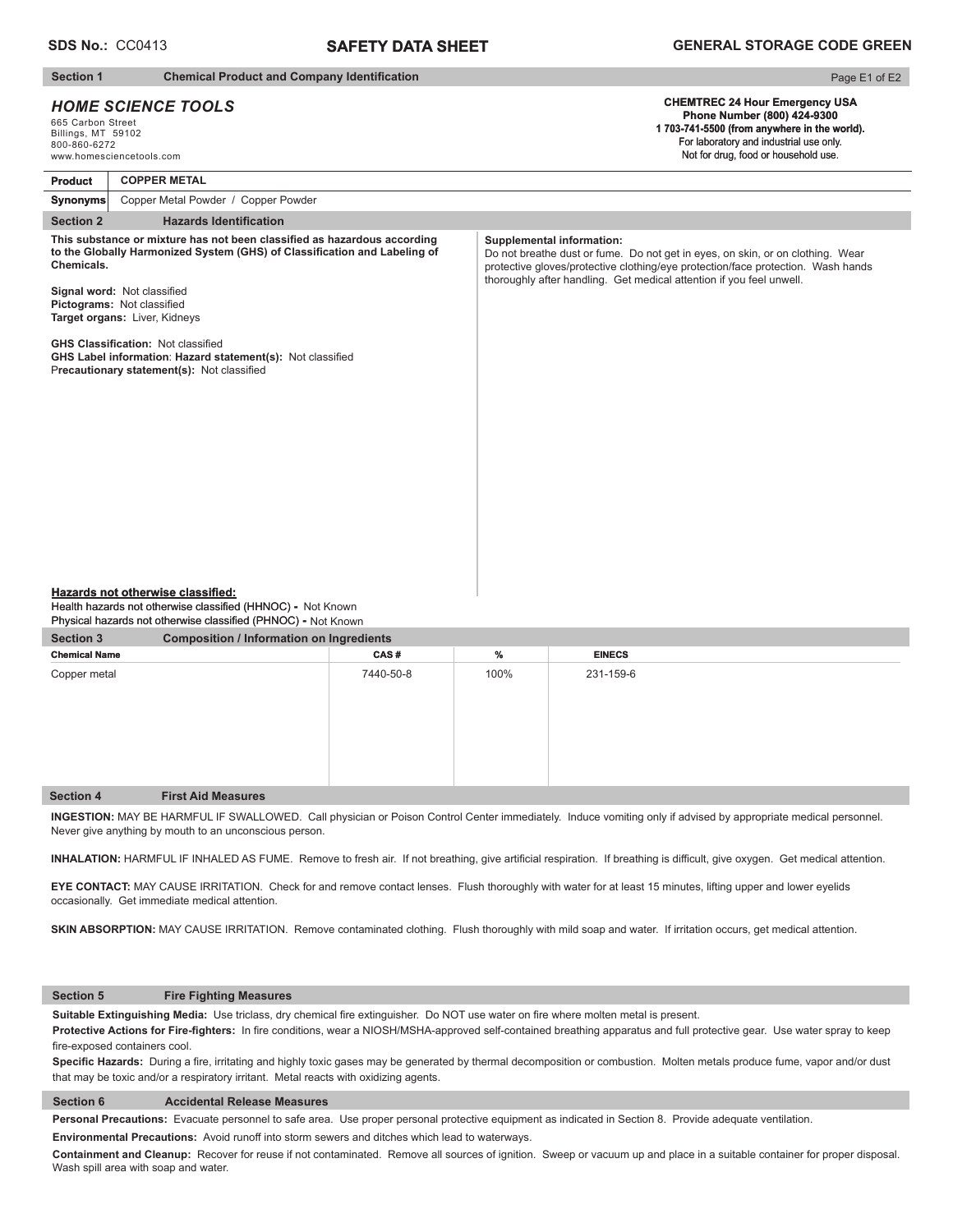# **SAFETY DATA SHEET**

#### **Section 1** Chemical Product and Company Identification

# *HOME SCIENCE TOOLS*

665 Carbon Street Billings, MT 59102 800-860-6272

# Page E1 of E2

#### **CHEMTREC 24 Hour Emergency USA Phone Number (800) 424-9300 1 703-741-5500 (from anywhere in the world).** For laboratory and industrial use only.

www.homesciencetools.com **Section 2** Hazards Identification **Product** Not for drug, food or household use. **Synonyms COPPER METAL**  Copper Metal Powder / Copper Powder This substance or mixture has not been classified as hazardous according to the Globally Harmonized System (GHS) of Classification and Labeling of **Chemicals. Signal word: Not classified Pictograms:** Not classified **Target organs:** Liver, Kidneys **GHS Classification: Not classified GHS Label information: Hazard statement(s): Not classified** Precautionary statement(s): Not classified **Supplemental information:** Do not breathe dust or fume. Do not get in eyes, on skin, or on clothing. Wear protective gloves/protective clothing/eye protection/face protection. Wash hands thoroughly after handling. Get medical attention if you feel unwell.

#### **Hazards not otherwise classified:**

**Health hazards not otherwise classified (HHNOC) - Not Known Physical hazards not otherwise classified (PHNOC) -** Not Known

| <b>Section 3</b>     | <b>Composition / Information on Ingredients</b> |           |      |               |  |
|----------------------|-------------------------------------------------|-----------|------|---------------|--|
| <b>Chemical Name</b> |                                                 | CAS#      | %    | <b>EINECS</b> |  |
| Copper metal         |                                                 | 7440-50-8 | 100% | 231-159-6     |  |
| <b>Section 4</b>     | <b>First Aid Measures</b>                       |           |      |               |  |

**INGESTION:** MAY BE HARMFUL IF SWALLOWED. Call physician or Poison Control Center immediately. Induce vomiting only if advised by appropriate medical personnel. Never give anything by mouth to an unconscious person.

INHALATION: HARMFUL IF INHALED AS FUME. Remove to fresh air. If not breathing, give artificial respiration. If breathing is difficult, give oxygen. Get medical attention.

**EYE CONTACT:** MAY CAUSE IRRITATION. Check for and remove contact lenses. Flush thoroughly with water for at least 15 minutes, lifting upper and lower eyelids occasionally. Get immediate medical attention.

SKIN ABSORPTION: MAY CAUSE IRRITATION. Remove contaminated clothing. Flush thoroughly with mild soap and water. If irritation occurs, get medical attention.

#### **Section 5 Fire Fighting Measures**

**Suitable Extinguishing Media:** Use triclass, dry chemical fire extinguisher. Do NOT use water on fire where molten metal is present.

Protective Actions for Fire-fighters: In fire conditions, wear a NIOSH/MSHA-approved self-contained breathing apparatus and full protective gear. Use water spray to keep fire-exposed containers cool.

Specific Hazards: During a fire, irritating and highly toxic gases may be generated by thermal decomposition or combustion. Molten metals produce fume, vapor and/or dust that may be toxic and/or a respiratory irritant. Metal reacts with oxidizing agents.

#### **Section 6 Accidental Release Measures**

**Personal Precautions:** Evacuate personnel to safe area. Use proper personal protective equipment as indicated in Section 8. Provide adequate ventilation.

**Environmental Precautions:** Avoid runoff into storm sewers and ditches which lead to waterways.

**Containment and Cleanup:** Recover for reuse if not contaminated. Remove all sources of ignition. Sweep or vacuum up and place in a suitable container for proper disposal. Wash spill area with soap and water.